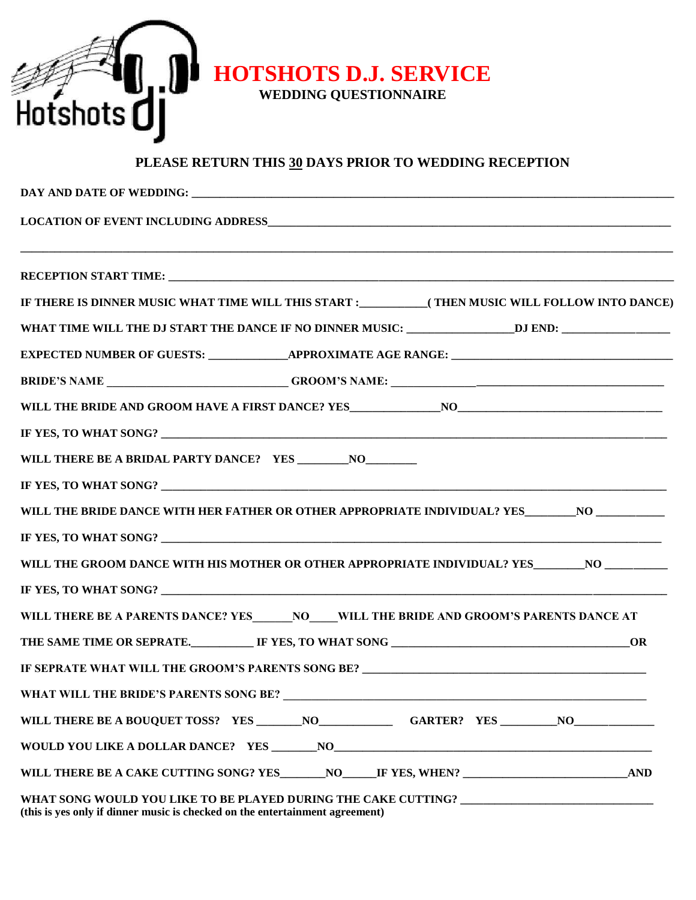

## **PLEASE RETURN THIS 30 DAYS PRIOR TO WEDDING RECEPTION**

| IF THERE IS DINNER MUSIC WHAT TIME WILL THIS START :____________(THEN MUSIC WILL FOLLOW INTO DANCE)                                                               |  |  |
|-------------------------------------------------------------------------------------------------------------------------------------------------------------------|--|--|
| WHAT TIME WILL THE DJ START THE DANCE IF NO DINNER MUSIC: __________________DJ END: _______________                                                               |  |  |
| EXPECTED NUMBER OF GUESTS: _______________APPROXIMATE AGE RANGE: ___________________________________                                                              |  |  |
|                                                                                                                                                                   |  |  |
|                                                                                                                                                                   |  |  |
|                                                                                                                                                                   |  |  |
|                                                                                                                                                                   |  |  |
|                                                                                                                                                                   |  |  |
| WILL THE BRIDE DANCE WITH HER FATHER OR OTHER APPROPRIATE INDIVIDUAL? YES_________NO ______________                                                               |  |  |
|                                                                                                                                                                   |  |  |
| WILL THE GROOM DANCE WITH HIS MOTHER OR OTHER APPROPRIATE INDIVIDUAL? YES__________NO ________                                                                    |  |  |
|                                                                                                                                                                   |  |  |
| WILL THERE BE A PARENTS DANCE? YES _______ NO_____WILL THE BRIDE AND GROOM'S PARENTS DANCE AT                                                                     |  |  |
|                                                                                                                                                                   |  |  |
| IF SEPRATE WHAT WILL THE GROOM'S PARENTS SONG BE? _______________________________                                                                                 |  |  |
| WHAT WILL THE BRIDE'S PARENTS SONG BE?<br><u> 1989 - Johann Stoff, deutscher Stoffen und der Stoffen und der Stoffen und der Stoffen und der Stoffen und der</u>  |  |  |
|                                                                                                                                                                   |  |  |
|                                                                                                                                                                   |  |  |
|                                                                                                                                                                   |  |  |
| WHAT SONG WOULD YOU LIKE TO BE PLAYED DURING THE CAKE CUTTING? __________________<br>(this is yes only if dinner music is checked on the entertainment agreement) |  |  |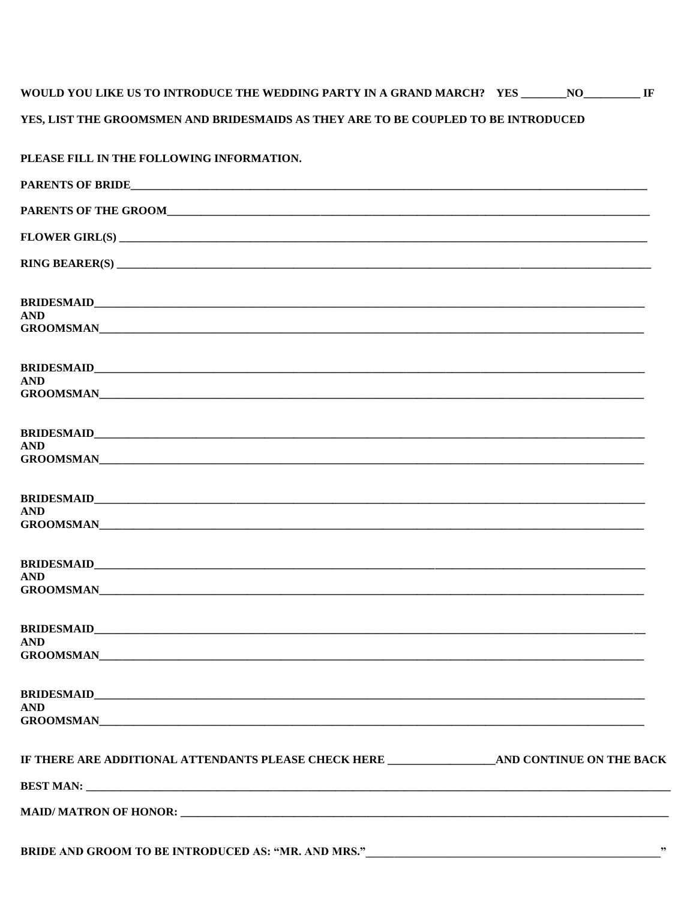## WOULD YOU LIKE US TO INTRODUCE THE WEDDING PARTY IN A GRAND MARCH? YES \_\_\_\_\_\_\_NO\_\_\_\_\_\_\_\_\_\_ IF YES, LIST THE GROOMSMEN AND BRIDESMAIDS AS THEY ARE TO BE COUPLED TO BE INTRODUCED

| PLEASE FILL IN THE FOLLOWING INFORMATION.                                     |  |  |
|-------------------------------------------------------------------------------|--|--|
|                                                                               |  |  |
|                                                                               |  |  |
|                                                                               |  |  |
|                                                                               |  |  |
|                                                                               |  |  |
| <b>AND</b><br>GROOMSMAN                                                       |  |  |
| <b>AND</b>                                                                    |  |  |
|                                                                               |  |  |
|                                                                               |  |  |
| <b>AND</b>                                                                    |  |  |
|                                                                               |  |  |
| <b>AND</b>                                                                    |  |  |
|                                                                               |  |  |
| <b>AND</b>                                                                    |  |  |
|                                                                               |  |  |
| <b>AND</b><br><b>GROOMSMAN</b>                                                |  |  |
|                                                                               |  |  |
| <b>AND</b>                                                                    |  |  |
| IF THERE ARE ADDITIONAL ATTENDANTS PLEASE CHECK HERE AND CONTINUE ON THE BACK |  |  |
|                                                                               |  |  |
|                                                                               |  |  |
|                                                                               |  |  |

BRIDE AND GROOM TO BE INTRODUCED AS: "MR. AND MRS." \_\_\_\_\_\_\_\_\_\_\_\_\_\_\_\_\_\_\_\_\_\_\_\_\_\_\_\_\_